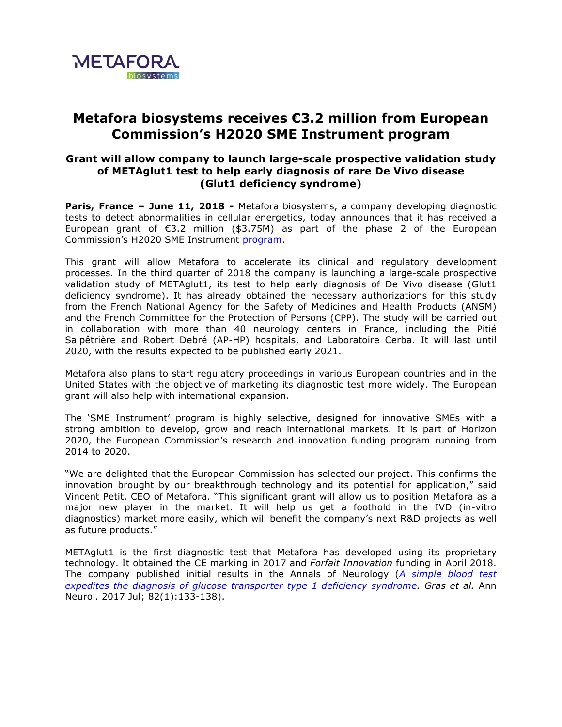

## **Metafora biosystems receives €3.2 million from European Commission's H2020 SME Instrument program**

## **Grant will allow company to launch large-scale prospective validation study of METAglut1 test to help early diagnosis of rare De Vivo disease (Glut1 deficiency syndrome)**

**Paris, France – June 11, 2018 -** Metafora biosystems, a company developing diagnostic tests to detect abnormalities in cellular energetics, today announces that it has received a European grant of €3.2 million (\$3.75M) as part of the phase 2 of the European Commission's H2020 SME Instrument program.

This grant will allow Metafora to accelerate its clinical and regulatory development processes. In the third quarter of 2018 the company is launching a large-scale prospective validation study of METAglut1, its test to help early diagnosis of De Vivo disease (Glut1 deficiency syndrome). It has already obtained the necessary authorizations for this study from the French National Agency for the Safety of Medicines and Health Products (ANSM) and the French Committee for the Protection of Persons (CPP). The study will be carried out in collaboration with more than 40 neurology centers in France, including the Pitié Salpêtrière and Robert Debré (AP-HP) hospitals, and Laboratoire Cerba. It will last until 2020, with the results expected to be published early 2021.

Metafora also plans to start regulatory proceedings in various European countries and in the United States with the objective of marketing its diagnostic test more widely. The European grant will also help with international expansion.

The 'SME Instrument' program is highly selective, designed for innovative SMEs with a strong ambition to develop, grow and reach international markets. It is part of Horizon 2020, the European Commission's research and innovation funding program running from 2014 to 2020.

"We are delighted that the European Commission has selected our project. This confirms the innovation brought by our breakthrough technology and its potential for application," said Vincent Petit, CEO of Metafora. "This significant grant will allow us to position Metafora as a major new player in the market. It will help us get a foothold in the IVD (in-vitro diagnostics) market more easily, which will benefit the company's next R&D projects as well as future products."

METAglut1 is the first diagnostic test that Metafora has developed using its proprietary technology. It obtained the CE marking in 2017 and *Forfait Innovation* funding in April 2018. The company published initial results in the Annals of Neurology (*A simple blood test*  expedites the diagnosis of glucose transporter type 1 deficiency syndrome. Gras et al. Ann Neurol. 2017 Jul; 82(1):133-138).